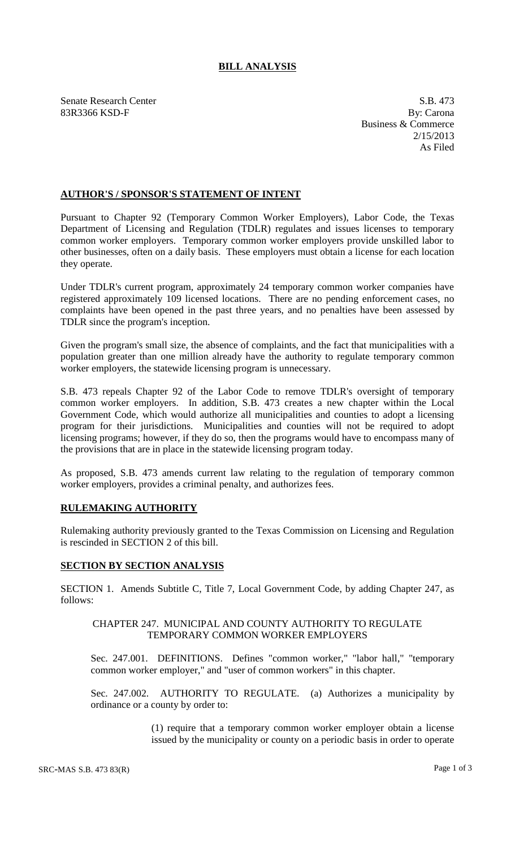# **BILL ANALYSIS**

Senate Research Center S.B. 473 83R3366 KSD-F By: Carona

Business & Commerce 2/15/2013 As Filed

## **AUTHOR'S / SPONSOR'S STATEMENT OF INTENT**

Pursuant to Chapter 92 (Temporary Common Worker Employers), Labor Code, the Texas Department of Licensing and Regulation (TDLR) regulates and issues licenses to temporary common worker employers. Temporary common worker employers provide unskilled labor to other businesses, often on a daily basis. These employers must obtain a license for each location they operate.

Under TDLR's current program, approximately 24 temporary common worker companies have registered approximately 109 licensed locations. There are no pending enforcement cases, no complaints have been opened in the past three years, and no penalties have been assessed by TDLR since the program's inception.

Given the program's small size, the absence of complaints, and the fact that municipalities with a population greater than one million already have the authority to regulate temporary common worker employers, the statewide licensing program is unnecessary.

S.B. 473 repeals Chapter 92 of the Labor Code to remove TDLR's oversight of temporary common worker employers. In addition, S.B. 473 creates a new chapter within the Local Government Code, which would authorize all municipalities and counties to adopt a licensing program for their jurisdictions. Municipalities and counties will not be required to adopt licensing programs; however, if they do so, then the programs would have to encompass many of the provisions that are in place in the statewide licensing program today.

As proposed, S.B. 473 amends current law relating to the regulation of temporary common worker employers, provides a criminal penalty, and authorizes fees.

### **RULEMAKING AUTHORITY**

Rulemaking authority previously granted to the Texas Commission on Licensing and Regulation is rescinded in SECTION 2 of this bill.

### **SECTION BY SECTION ANALYSIS**

SECTION 1. Amends Subtitle C, Title 7, Local Government Code, by adding Chapter 247, as follows:

#### CHAPTER 247. MUNICIPAL AND COUNTY AUTHORITY TO REGULATE TEMPORARY COMMON WORKER EMPLOYERS

Sec. 247.001. DEFINITIONS. Defines "common worker," "labor hall," "temporary common worker employer," and "user of common workers" in this chapter.

Sec. 247.002. AUTHORITY TO REGULATE. (a) Authorizes a municipality by ordinance or a county by order to:

> (1) require that a temporary common worker employer obtain a license issued by the municipality or county on a periodic basis in order to operate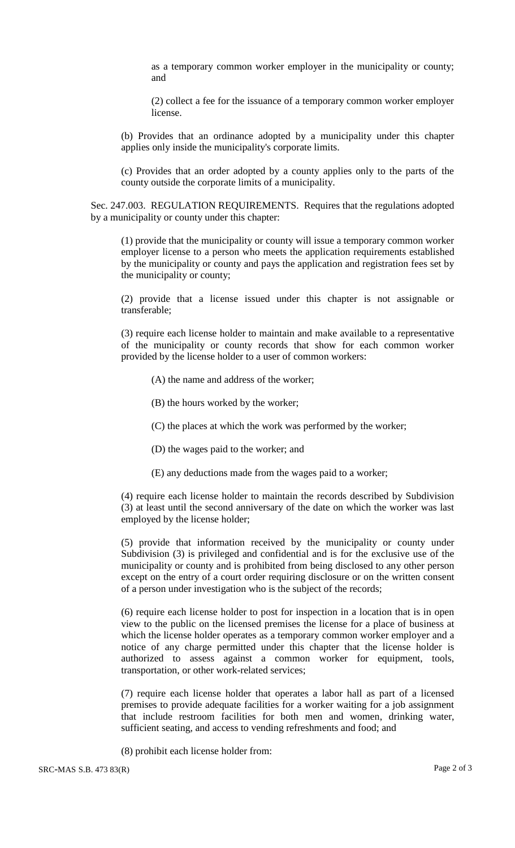as a temporary common worker employer in the municipality or county; and

(2) collect a fee for the issuance of a temporary common worker employer license.

(b) Provides that an ordinance adopted by a municipality under this chapter applies only inside the municipality's corporate limits.

(c) Provides that an order adopted by a county applies only to the parts of the county outside the corporate limits of a municipality.

Sec. 247.003. REGULATION REQUIREMENTS. Requires that the regulations adopted by a municipality or county under this chapter:

(1) provide that the municipality or county will issue a temporary common worker employer license to a person who meets the application requirements established by the municipality or county and pays the application and registration fees set by the municipality or county;

(2) provide that a license issued under this chapter is not assignable or transferable;

(3) require each license holder to maintain and make available to a representative of the municipality or county records that show for each common worker provided by the license holder to a user of common workers:

- (A) the name and address of the worker;
- (B) the hours worked by the worker;
- (C) the places at which the work was performed by the worker;
- (D) the wages paid to the worker; and
- (E) any deductions made from the wages paid to a worker;

(4) require each license holder to maintain the records described by Subdivision (3) at least until the second anniversary of the date on which the worker was last employed by the license holder;

(5) provide that information received by the municipality or county under Subdivision (3) is privileged and confidential and is for the exclusive use of the municipality or county and is prohibited from being disclosed to any other person except on the entry of a court order requiring disclosure or on the written consent of a person under investigation who is the subject of the records;

(6) require each license holder to post for inspection in a location that is in open view to the public on the licensed premises the license for a place of business at which the license holder operates as a temporary common worker employer and a notice of any charge permitted under this chapter that the license holder is authorized to assess against a common worker for equipment, tools, transportation, or other work-related services;

(7) require each license holder that operates a labor hall as part of a licensed premises to provide adequate facilities for a worker waiting for a job assignment that include restroom facilities for both men and women, drinking water, sufficient seating, and access to vending refreshments and food; and

(8) prohibit each license holder from: